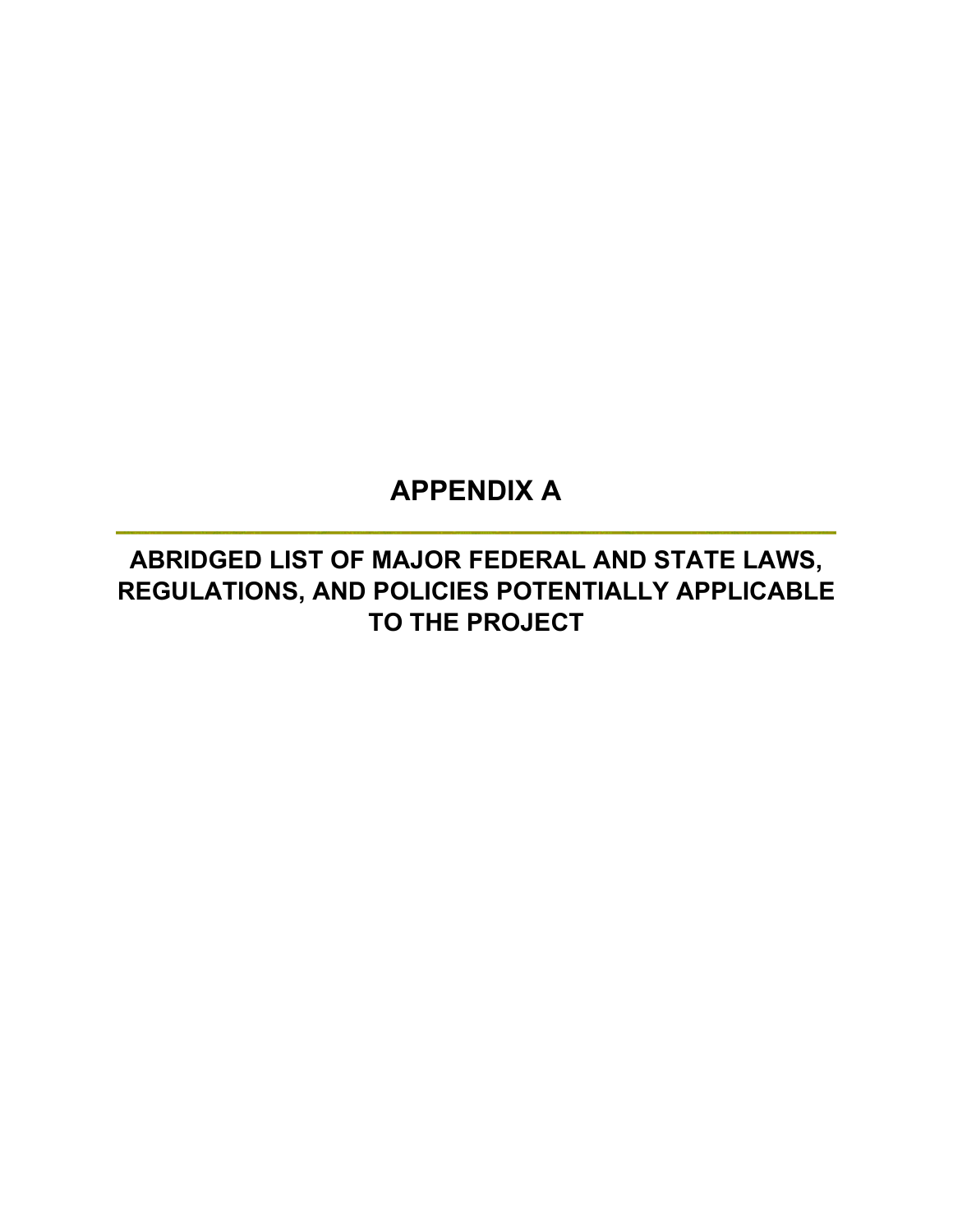# **APPENDIX A**

# **ABRIDGED LIST OF MAJOR FEDERAL AND STATE LAWS, REGULATIONS, AND POLICIES POTENTIALLY APPLICABLE TO THE PROJECT**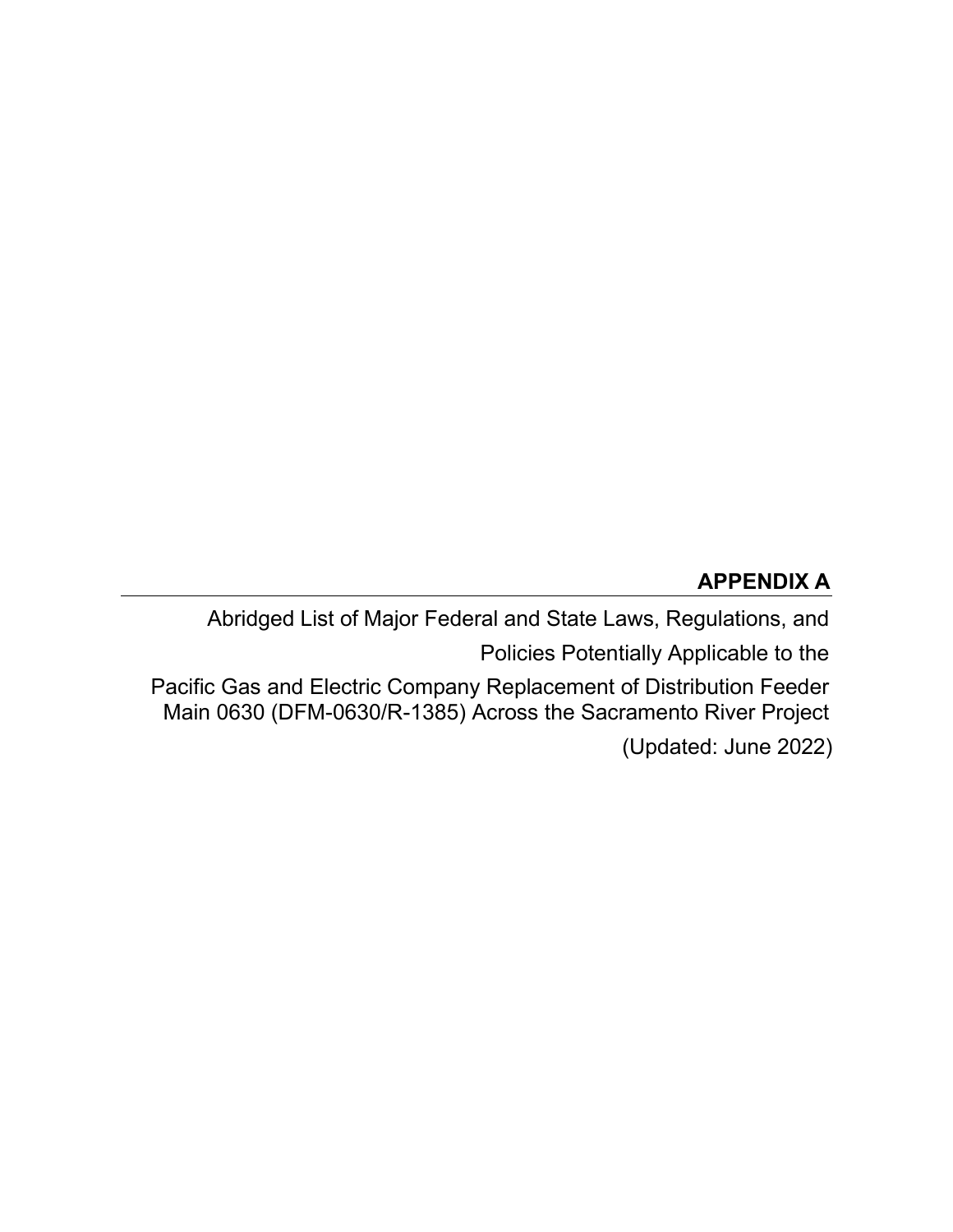# **APPENDIX A**

Abridged List of Major Federal and State Laws, Regulations, and

Policies Potentially Applicable to the

 Pacific Gas and Electric Company Replacement of Distribution Feeder Main 0630 (DFM-0630/R-1385) Across the Sacramento River Project

(Updated: June 2022)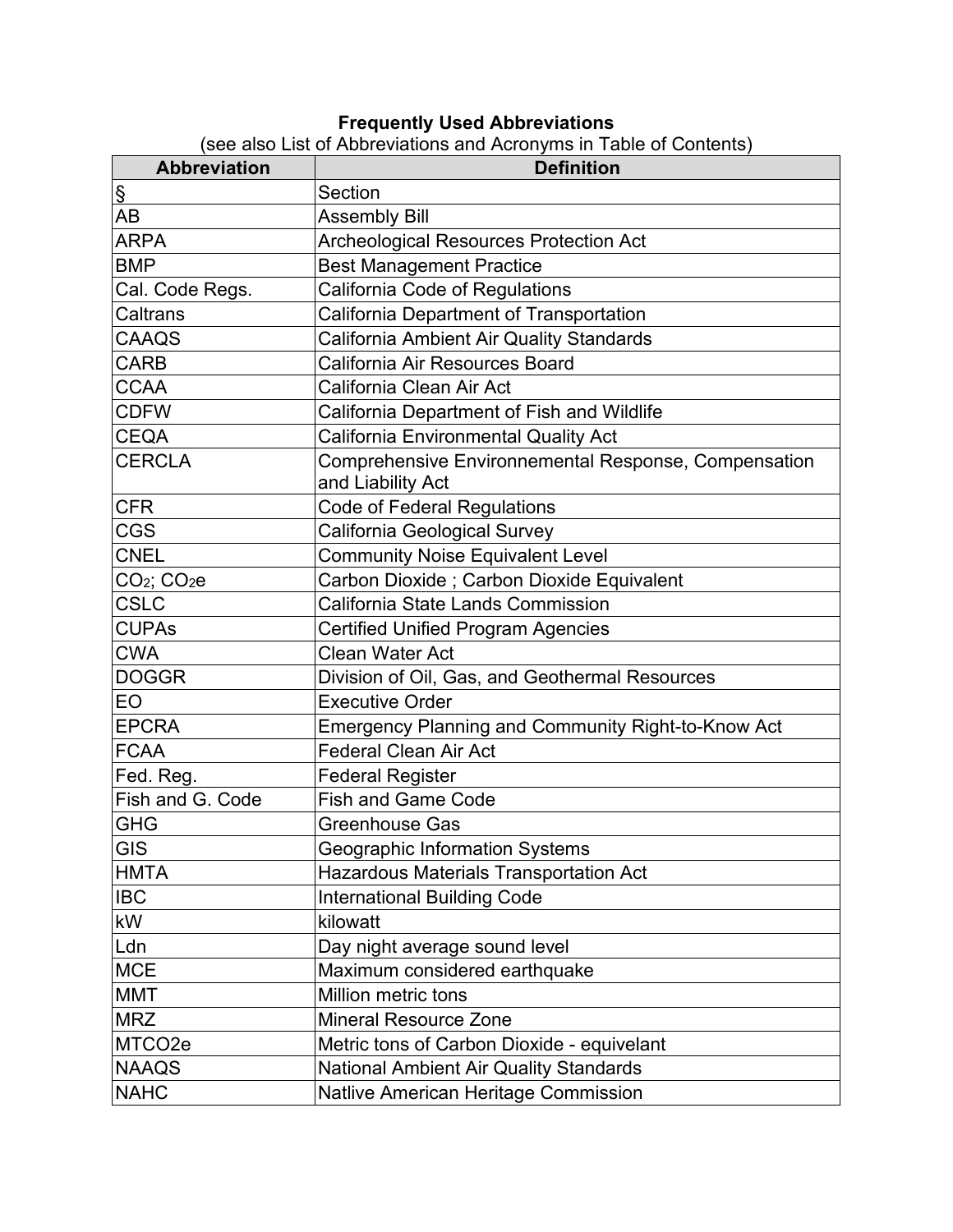#### **Frequently Used Abbreviations**

(see also List of Abbreviations and Acronyms in Table of Contents)

| <b>Abbreviation</b>                 | $\sim$ and $\sim$ contents and $\sim$ contents in Table of Contents,<br><b>Definition</b> |
|-------------------------------------|-------------------------------------------------------------------------------------------|
| $\S$                                | Section                                                                                   |
| AB                                  | <b>Assembly Bill</b>                                                                      |
| <b>ARPA</b>                         | <b>Archeological Resources Protection Act</b>                                             |
| <b>BMP</b>                          | <b>Best Management Practice</b>                                                           |
| Cal. Code Regs.                     | California Code of Regulations                                                            |
| Caltrans                            | California Department of Transportation                                                   |
| CAAQS                               | California Ambient Air Quality Standards                                                  |
| <b>CARB</b>                         | California Air Resources Board                                                            |
| <b>CCAA</b>                         | California Clean Air Act                                                                  |
| <b>CDFW</b>                         | California Department of Fish and Wildlife                                                |
| <b>CEQA</b>                         | California Environmental Quality Act                                                      |
| <b>CERCLA</b>                       | Comprehensive Environnemental Response, Compensation                                      |
|                                     | and Liability Act                                                                         |
| <b>CFR</b>                          | <b>Code of Federal Regulations</b>                                                        |
| <b>CGS</b>                          | California Geological Survey                                                              |
| <b>CNEL</b>                         | <b>Community Noise Equivalent Level</b>                                                   |
| CO <sub>2</sub> ; CO <sub>2</sub> e | Carbon Dioxide; Carbon Dioxide Equivalent                                                 |
| <b>CSLC</b>                         | <b>California State Lands Commission</b>                                                  |
| <b>CUPAs</b>                        | <b>Certified Unified Program Agencies</b>                                                 |
| <b>CWA</b>                          | <b>Clean Water Act</b>                                                                    |
| <b>DOGGR</b>                        | Division of Oil, Gas, and Geothermal Resources                                            |
| EO                                  | <b>Executive Order</b>                                                                    |
| <b>EPCRA</b>                        | <b>Emergency Planning and Community Right-to-Know Act</b>                                 |
| <b>FCAA</b>                         | <b>Federal Clean Air Act</b>                                                              |
| Fed. Reg.                           | <b>Federal Register</b>                                                                   |
| Fish and G. Code                    | <b>Fish and Game Code</b>                                                                 |
| <b>GHG</b>                          | <b>Greenhouse Gas</b>                                                                     |
| <b>GIS</b>                          | <b>Geographic Information Systems</b>                                                     |
| <b>HMTA</b>                         | Hazardous Materials Transportation Act                                                    |
| <b>IBC</b>                          | <b>International Building Code</b>                                                        |
| kW                                  | kilowatt                                                                                  |
| Ldn                                 | Day night average sound level                                                             |
| <b>MCE</b>                          | Maximum considered earthquake                                                             |
| <b>MMT</b>                          | Million metric tons                                                                       |
| <b>MRZ</b>                          | <b>Mineral Resource Zone</b>                                                              |
| MTCO <sub>2e</sub>                  | Metric tons of Carbon Dioxide - equivelant                                                |
| <b>NAAQS</b>                        | <b>National Ambient Air Quality Standards</b>                                             |
| <b>NAHC</b>                         | Natlive American Heritage Commission                                                      |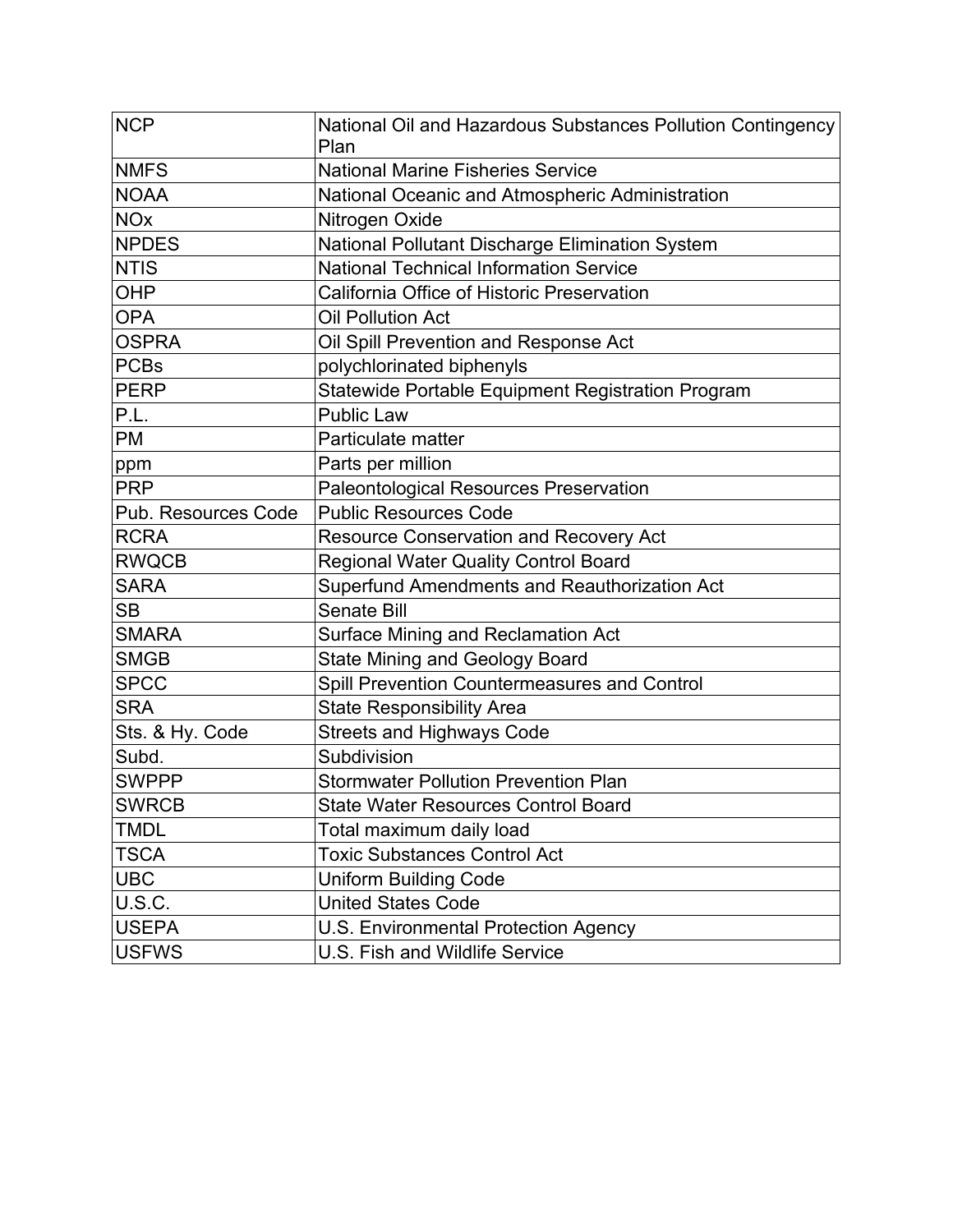| <b>NCP</b>                 | National Oil and Hazardous Substances Pollution Contingency<br>Plan |
|----------------------------|---------------------------------------------------------------------|
| <b>NMFS</b>                | <b>National Marine Fisheries Service</b>                            |
| <b>NOAA</b>                | National Oceanic and Atmospheric Administration                     |
| <b>NO<sub>x</sub></b>      | Nitrogen Oxide                                                      |
| <b>NPDES</b>               | National Pollutant Discharge Elimination System                     |
| <b>NTIS</b>                | <b>National Technical Information Service</b>                       |
| <b>OHP</b>                 | California Office of Historic Preservation                          |
| <b>OPA</b>                 | <b>Oil Pollution Act</b>                                            |
| <b>OSPRA</b>               | Oil Spill Prevention and Response Act                               |
| <b>PCBs</b>                | polychlorinated biphenyls                                           |
| <b>PERP</b>                | Statewide Portable Equipment Registration Program                   |
| P.L.                       | <b>Public Law</b>                                                   |
| <b>PM</b>                  | Particulate matter                                                  |
| ppm                        | Parts per million                                                   |
| <b>PRP</b>                 | <b>Paleontological Resources Preservation</b>                       |
| <b>Pub. Resources Code</b> | <b>Public Resources Code</b>                                        |
| <b>RCRA</b>                | Resource Conservation and Recovery Act                              |
| <b>RWQCB</b>               | <b>Regional Water Quality Control Board</b>                         |
| <b>SARA</b>                | Superfund Amendments and Reauthorization Act                        |
| <b>SB</b>                  | <b>Senate Bill</b>                                                  |
| <b>SMARA</b>               | Surface Mining and Reclamation Act                                  |
| <b>SMGB</b>                | <b>State Mining and Geology Board</b>                               |
| <b>SPCC</b>                | Spill Prevention Countermeasures and Control                        |
| <b>SRA</b>                 | <b>State Responsibility Area</b>                                    |
| Sts. & Hy. Code            | <b>Streets and Highways Code</b>                                    |
| Subd.                      | Subdivision                                                         |
| <b>SWPPP</b>               | <b>Stormwater Pollution Prevention Plan</b>                         |
| <b>SWRCB</b>               | <b>State Water Resources Control Board</b>                          |
| <b>TMDL</b>                | Total maximum daily load                                            |
| <b>TSCA</b>                | <b>Toxic Substances Control Act</b>                                 |
| <b>UBC</b>                 | <b>Uniform Building Code</b>                                        |
| <b>U.S.C.</b>              | <b>United States Code</b>                                           |
| <b>USEPA</b>               | U.S. Environmental Protection Agency                                |
| <b>USFWS</b>               | U.S. Fish and Wildlife Service                                      |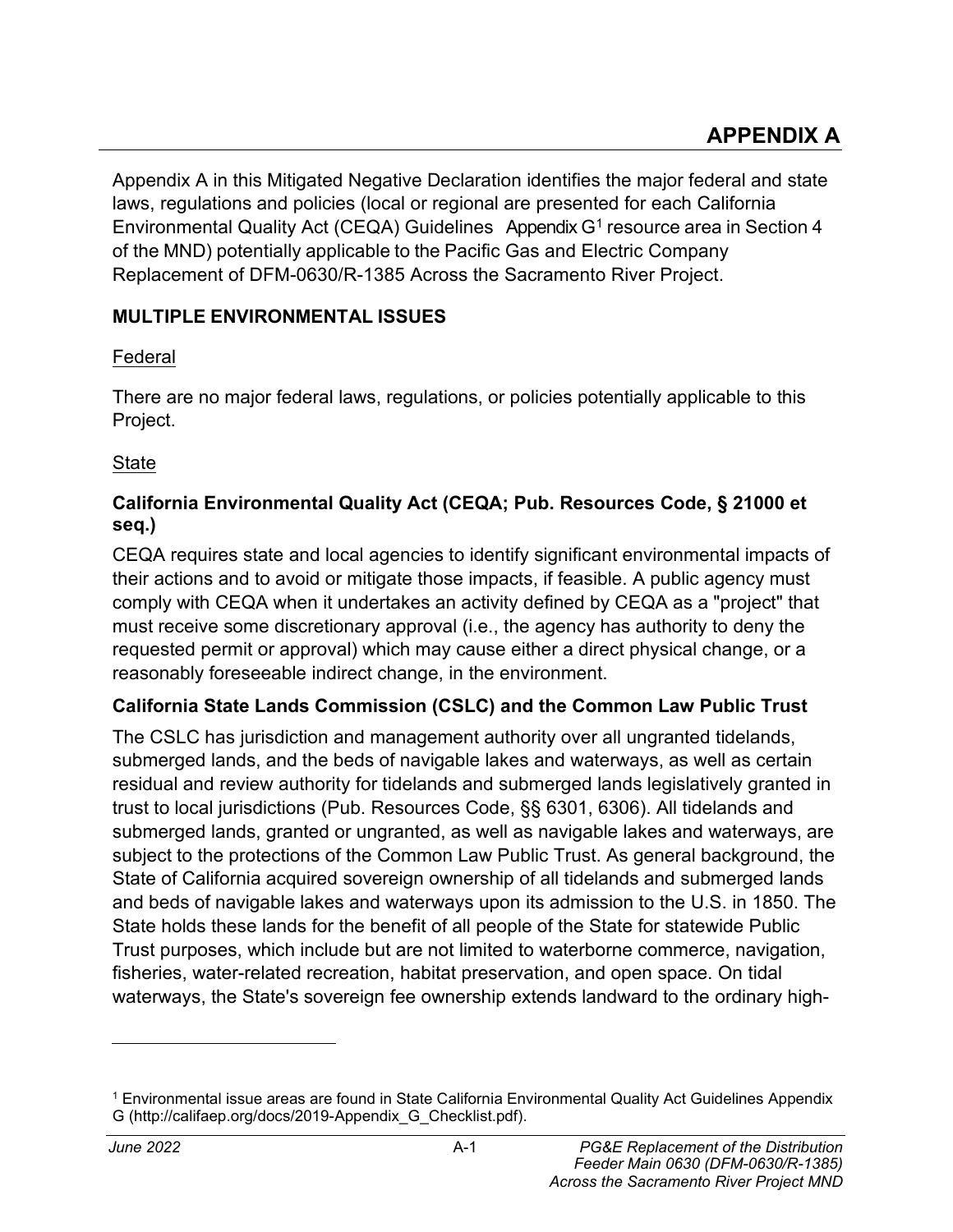Appendix A in this Mitigated Negative Declaration identifies the major federal and state laws, regulations and policies (local or regional are presented for each California Environmental Quality Act (CEQA) Guidelines Appendix  $G<sup>1</sup>$  resource area in Section 4 of the MND) potentially applicable to the Pacific Gas and Electric Company Replacement of DFM-0630/R-1385 Across the Sacramento River Project.

# **MULTIPLE ENVIRONMENTAL ISSUES**

# Federal

There are no major federal laws, regulations, or policies potentially applicable to this Project.

State

# **California Environmental Quality Act (CEQA; Pub. Resources Code, § 21000 et seq.)**

CEQA requires state and local agencies to identify significant environmental impacts of their actions and to avoid or mitigate those impacts, if feasible. A public agency must comply with CEQA when it undertakes an activity defined by CEQA as a "project" that must receive some discretionary approval (i.e., the agency has authority to deny the requested permit or approval) which may cause either a direct physical change, or a reasonably foreseeable indirect change, in the environment.

# **California State Lands Commission (CSLC) and the Common Law Public Trust**

The CSLC has jurisdiction and management authority over all ungranted tidelands, submerged lands, and the beds of navigable lakes and waterways, as well as certain residual and review authority for tidelands and submerged lands legislatively granted in trust to local jurisdictions (Pub. Resources Code, §§ 6301, 6306). All tidelands and submerged lands, granted or ungranted, as well as navigable lakes and waterways, are subject to the protections of the Common Law Public Trust. As general background, the State of California acquired sovereign ownership of all tidelands and submerged lands and beds of navigable lakes and waterways upon its admission to the U.S. in 1850. The State holds these lands for the benefit of all people of the State for statewide Public Trust purposes, which include but are not limited to waterborne commerce, navigation, fisheries, water-related recreation, habitat preservation, and open space. On tidal waterways, the State's sovereign fee ownership extends landward to the ordinary high-

<sup>1</sup> Environmental issue areas are found in State California Environmental Quality Act Guidelines Appendix G [\(http://califaep.org/docs/2019-Appendix\\_G\\_Checklist.pdf\)](http://califaep.org/docs/2019-Appendix_G_Checklist.pdf).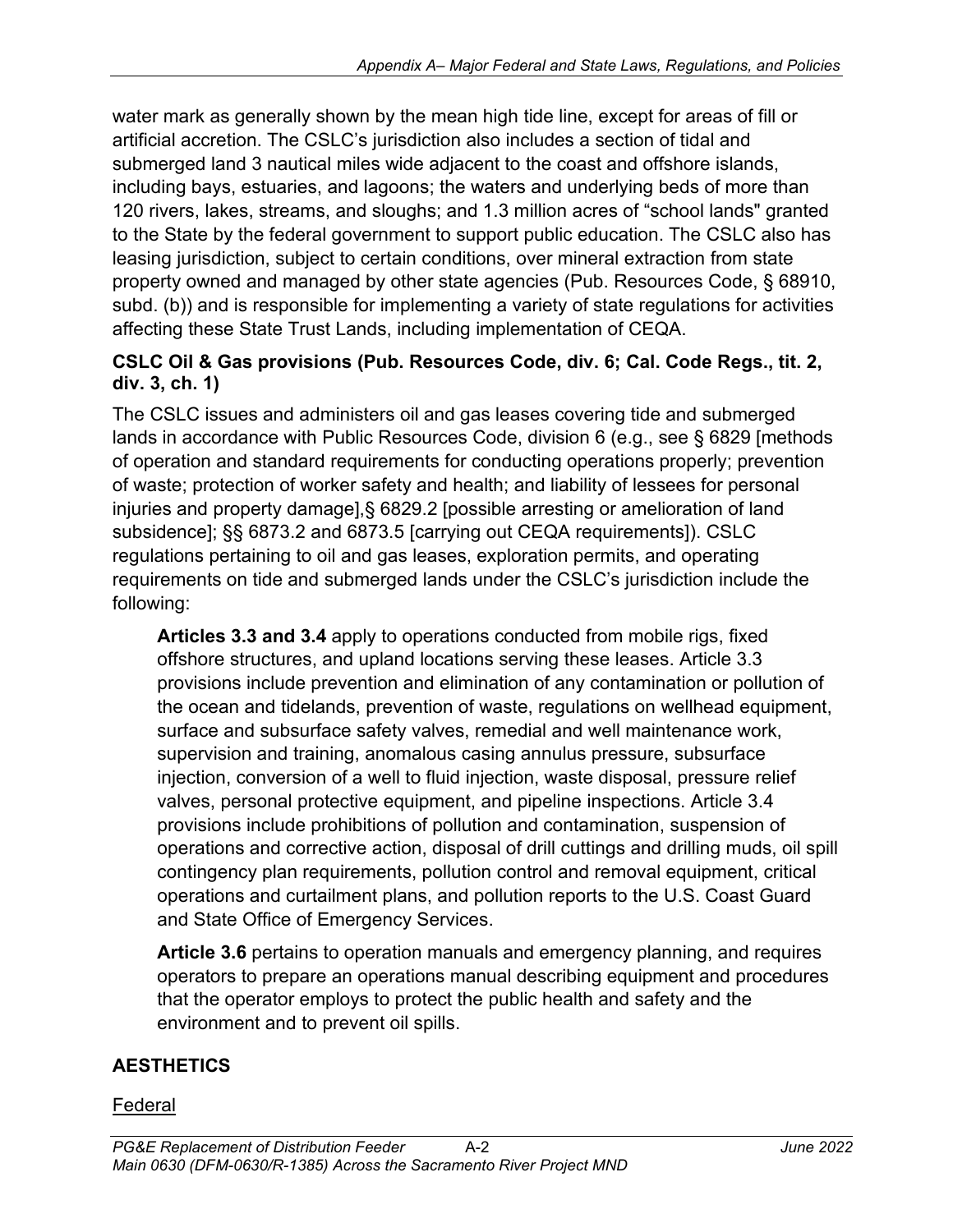water mark as generally shown by the mean high tide line, except for areas of fill or artificial accretion. The CSLC's jurisdiction also includes a section of tidal and submerged land 3 nautical miles wide adjacent to the coast and offshore islands, including bays, estuaries, and lagoons; the waters and underlying beds of more than 120 rivers, lakes, streams, and sloughs; and 1.3 million acres of "school lands" granted to the State by the federal government to support public education. The CSLC also has leasing jurisdiction, subject to certain conditions, over mineral extraction from state property owned and managed by other state agencies (Pub. Resources Code, § 68910, subd. (b)) and is responsible for implementing a variety of state regulations for activities affecting these State Trust Lands, including implementation of CEQA.

### **CSLC Oil & Gas provisions (Pub. Resources Code, div. 6; Cal. Code Regs., tit. 2, div. 3, ch. 1)**

The CSLC issues and administers oil and gas leases covering tide and submerged lands in accordance with Public Resources Code, division 6 (e.g., see § 6829 [methods of operation and standard requirements for conducting operations properly; prevention of waste; protection of worker safety and health; and liability of lessees for personal injuries and property damage],§ 6829.2 [possible arresting or amelioration of land subsidence]; §§ 6873.2 and 6873.5 [carrying out CEQA requirements]). CSLC regulations pertaining to oil and gas leases, exploration permits, and operating requirements on tide and submerged lands under the CSLC's jurisdiction include the following:

**Articles 3.3 and 3.4** apply to operations conducted from mobile rigs, fixed offshore structures, and upland locations serving these leases. Article 3.3 provisions include prevention and elimination of any contamination or pollution of the ocean and tidelands, prevention of waste, regulations on wellhead equipment, surface and subsurface safety valves, remedial and well maintenance work, supervision and training, anomalous casing annulus pressure, subsurface injection, conversion of a well to fluid injection, waste disposal, pressure relief valves, personal protective equipment, and pipeline inspections. Article 3.4 provisions include prohibitions of pollution and contamination, suspension of operations and corrective action, disposal of drill cuttings and drilling muds, oil spill contingency plan requirements, pollution control and removal equipment, critical operations and curtailment plans, and pollution reports to the U.S. Coast Guard and State Office of Emergency Services.

**Article 3.6** pertains to operation manuals and emergency planning, and requires operators to prepare an operations manual describing equipment and procedures that the operator employs to protect the public health and safety and the environment and to prevent oil spills.

# **AESTHETICS**

### Federal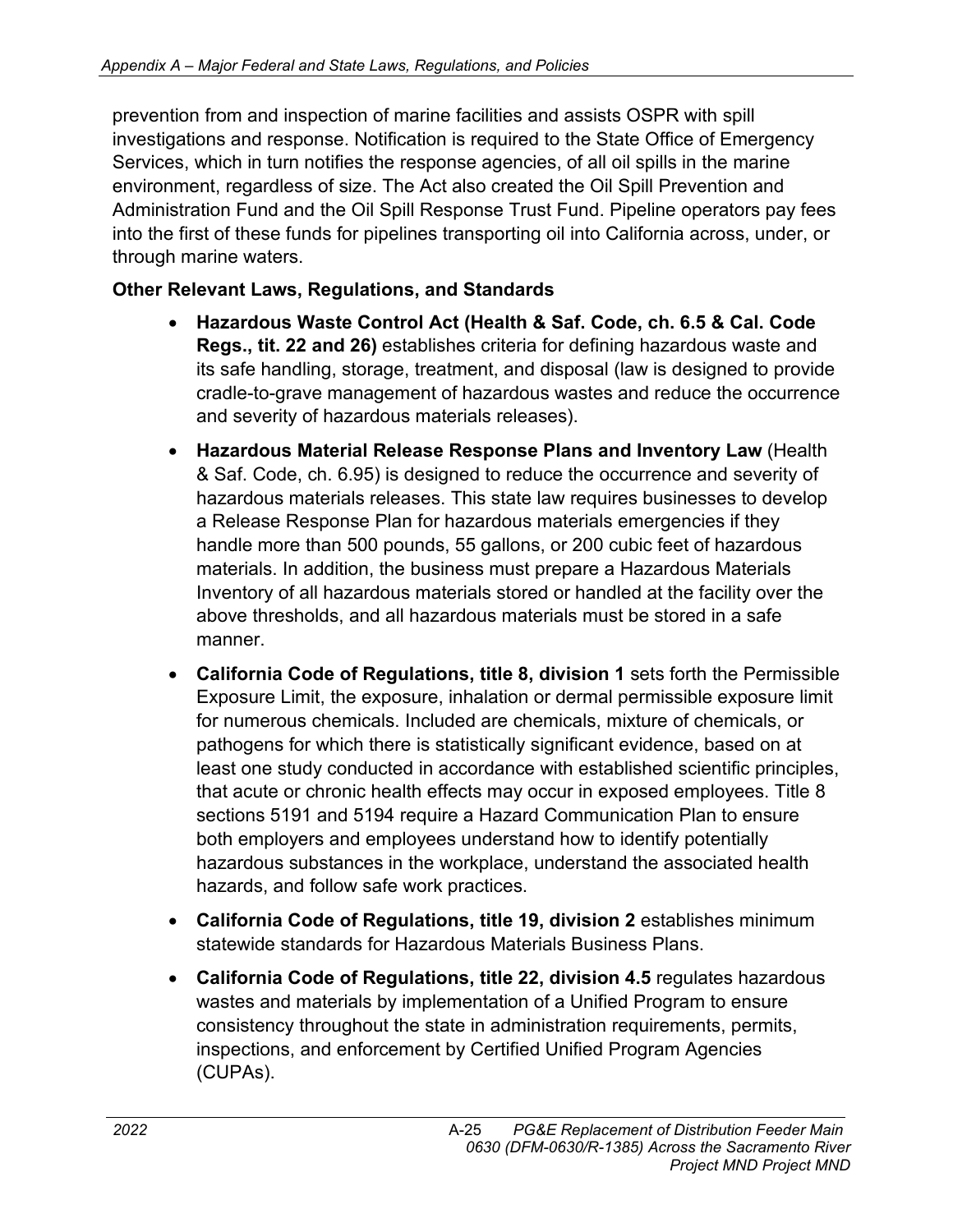prevention from and inspection of marine facilities and assists OSPR with spill investigations and response. Notification is required to the State Office of Emergency Services, which in turn notifies the response agencies, of all oil spills in the marine environment, regardless of size. The Act also created the Oil Spill Prevention and Administration Fund and the Oil Spill Response Trust Fund. Pipeline operators pay fees into the first of these funds for pipelines transporting oil into California across, under, or through marine waters.

# **Other Relevant Laws, Regulations, and Standards**

- **Hazardous Waste Control Act (Health & Saf. Code, ch. 6.5 & Cal. Code Regs., tit. 22 and 26)** establishes criteria for defining hazardous waste and its safe handling, storage, treatment, and disposal (law is designed to provide cradle-to-grave management of hazardous wastes and reduce the occurrence and severity of hazardous materials releases).
- **Hazardous Material Release Response Plans and Inventory Law** (Health & Saf. Code, ch. 6.95) is designed to reduce the occurrence and severity of hazardous materials releases. This state law requires businesses to develop a Release Response Plan for hazardous materials emergencies if they handle more than 500 pounds, 55 gallons, or 200 cubic feet of hazardous materials. In addition, the business must prepare a Hazardous Materials Inventory of all hazardous materials stored or handled at the facility over the above thresholds, and all hazardous materials must be stored in a safe manner.
- **California Code of Regulations, title 8, division 1** sets forth the Permissible Exposure Limit, the exposure, inhalation or dermal permissible exposure limit for numerous chemicals. Included are chemicals, mixture of chemicals, or pathogens for which there is statistically significant evidence, based on at least one study conducted in accordance with established scientific principles, that acute or chronic health effects may occur in exposed employees. Title 8 sections 5191 and 5194 require a Hazard Communication Plan to ensure both employers and employees understand how to identify potentially hazardous substances in the workplace, understand the associated health hazards, and follow safe work practices.
- **California Code of Regulations, title 19, division 2** establishes minimum statewide standards for Hazardous Materials Business Plans.
- **California Code of Regulations, title 22, division 4.5** regulates hazardous wastes and materials by implementation of a Unified Program to ensure consistency throughout the state in administration requirements, permits, inspections, and enforcement by Certified Unified Program Agencies (CUPAs).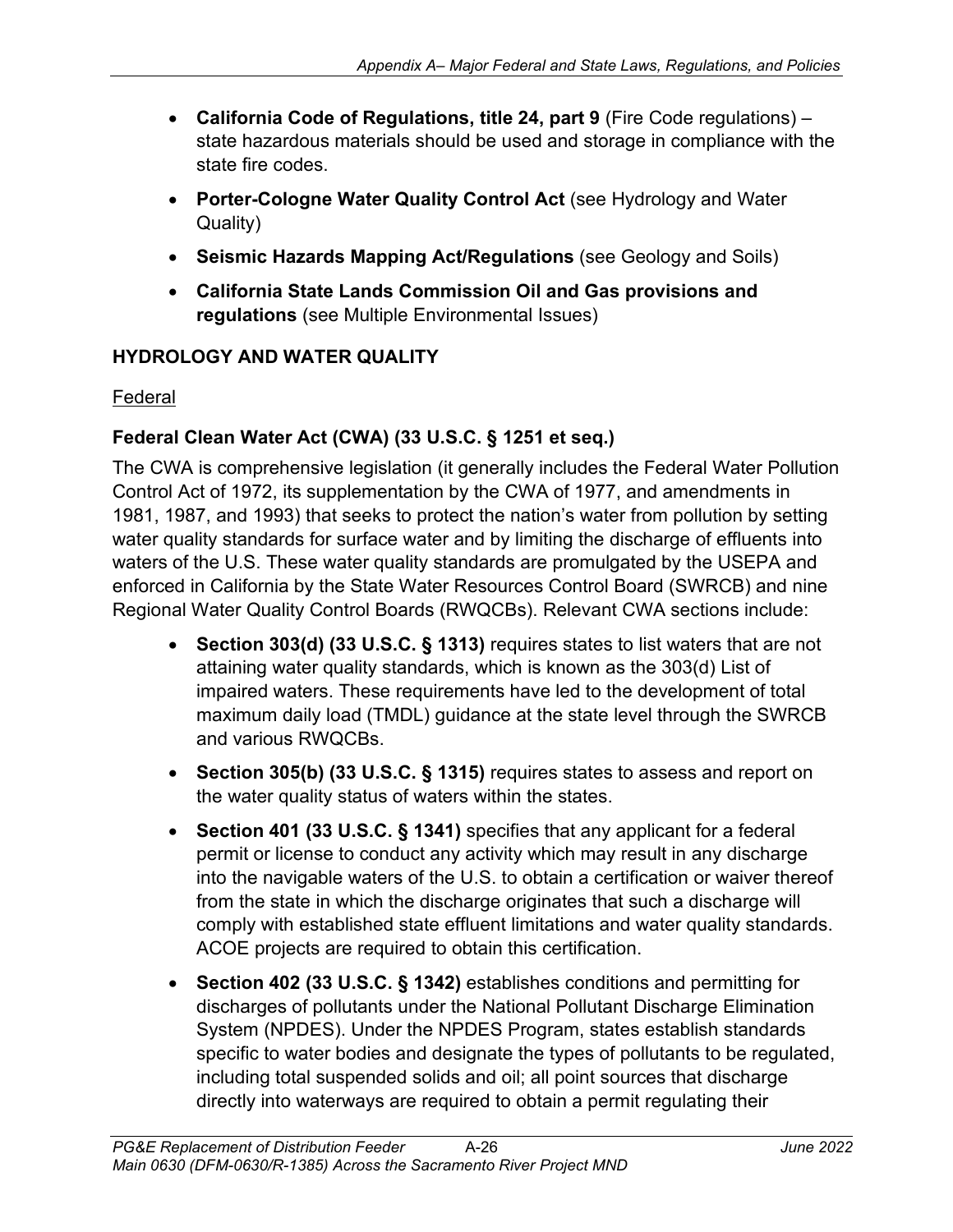- **California Code of Regulations, title 24, part 9** (Fire Code regulations) state hazardous materials should be used and storage in compliance with the state fire codes.
- **Porter-Cologne Water Quality Control Act** (see Hydrology and Water Quality)
- **Seismic Hazards Mapping Act/Regulations** (see Geology and Soils)
- **California State Lands Commission Oil and Gas provisions and regulations** (see Multiple Environmental Issues)

### **HYDROLOGY AND WATER QUALITY**

#### Federal

### **Federal Clean Water Act (CWA) (33 U.S.C. § 1251 et seq.)**

The CWA is comprehensive legislation (it generally includes the Federal Water Pollution Control Act of 1972, its supplementation by the CWA of 1977, and amendments in 1981, 1987, and 1993) that seeks to protect the nation's water from pollution by setting water quality standards for surface water and by limiting the discharge of effluents into waters of the U.S. These water quality standards are promulgated by the USEPA and enforced in California by the State Water Resources Control Board (SWRCB) and nine Regional Water Quality Control Boards (RWQCBs). Relevant CWA sections include:

- **Section 303(d) (33 U.S.C. § 1313)** requires states to list waters that are not attaining water quality standards, which is known as the 303(d) List of impaired waters. These requirements have led to the development of total maximum daily load (TMDL) guidance at the state level through the SWRCB and various RWQCBs.
- **Section 305(b) (33 U.S.C. § 1315)** requires states to assess and report on the water quality status of waters within the states.
- **Section 401 (33 U.S.C. § 1341)** specifies that any applicant for a federal permit or license to conduct any activity which may result in any discharge into the navigable waters of the U.S. to obtain a certification or waiver thereof from the state in which the discharge originates that such a discharge will comply with established state effluent limitations and water quality standards. ACOE projects are required to obtain this certification.
- **Section 402 (33 U.S.C. § 1342)** establishes conditions and permitting for discharges of pollutants under the National Pollutant Discharge Elimination System (NPDES). Under the NPDES Program, states establish standards specific to water bodies and designate the types of pollutants to be regulated, including total suspended solids and oil; all point sources that discharge directly into waterways are required to obtain a permit regulating their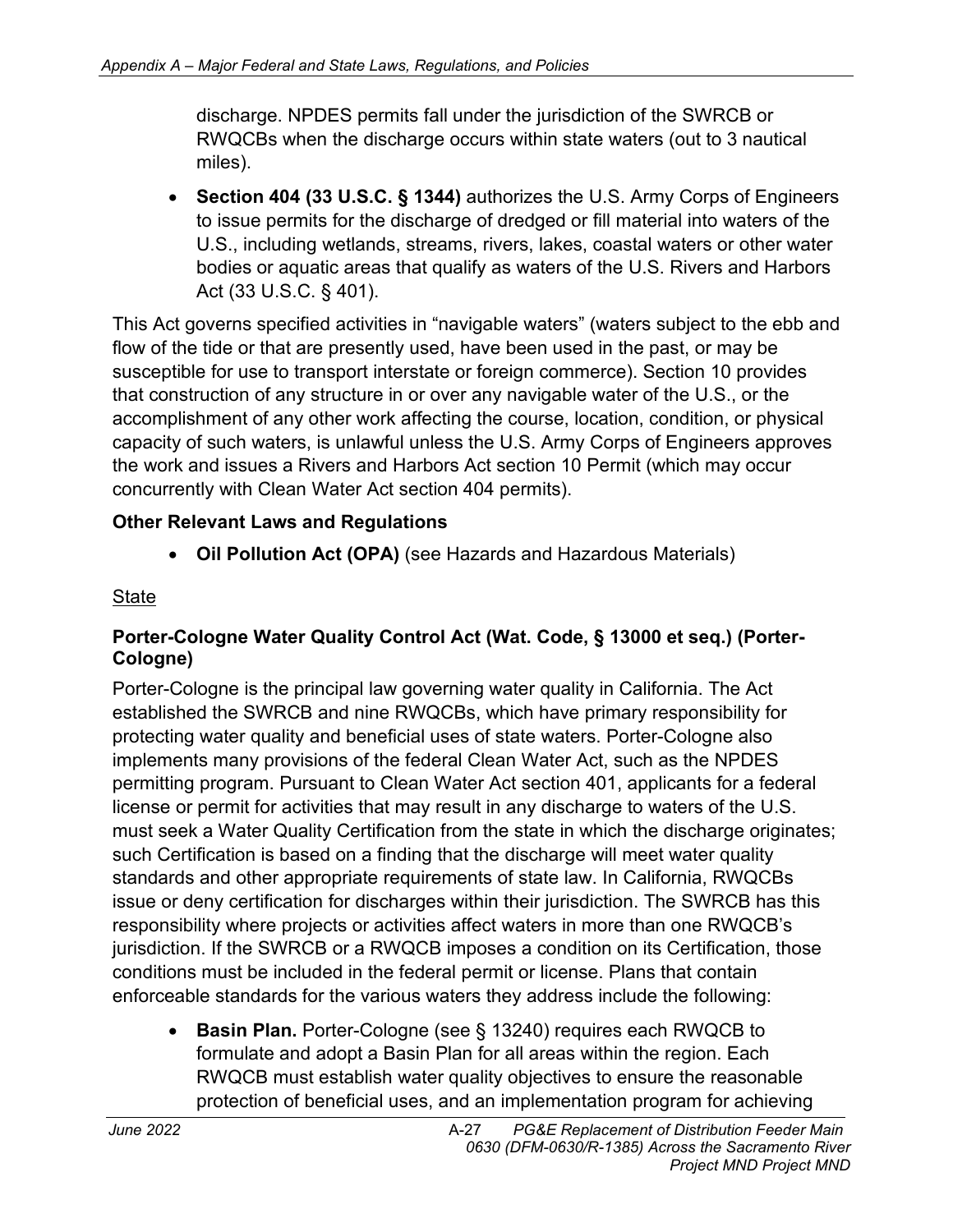discharge. NPDES permits fall under the jurisdiction of the SWRCB or RWQCBs when the discharge occurs within state waters (out to 3 nautical miles).

• **Section 404 (33 U.S.C. § 1344)** authorizes the U.S. Army Corps of Engineers to issue permits for the discharge of dredged or fill material into waters of the U.S., including wetlands, streams, rivers, lakes, coastal waters or other water bodies or aquatic areas that qualify as waters of the U.S. Rivers and Harbors Act (33 U.S.C. § 401).

This Act governs specified activities in "navigable waters" (waters subject to the ebb and flow of the tide or that are presently used, have been used in the past, or may be susceptible for use to transport interstate or foreign commerce). Section 10 provides that construction of any structure in or over any navigable water of the U.S., or the accomplishment of any other work affecting the course, location, condition, or physical capacity of such waters, is unlawful unless the U.S. Army Corps of Engineers approves the work and issues a Rivers and Harbors Act section 10 Permit (which may occur concurrently with Clean Water Act section 404 permits).

# **Other Relevant Laws and Regulations**

• **Oil Pollution Act (OPA)** (see Hazards and Hazardous Materials)

# **State**

# **Porter-Cologne Water Quality Control Act (Wat. Code, § 13000 et seq.) (Porter-Cologne)**

Porter-Cologne is the principal law governing water quality in California. The Act established the SWRCB and nine RWQCBs, which have primary responsibility for protecting water quality and beneficial uses of state waters. Porter-Cologne also implements many provisions of the federal Clean Water Act, such as the NPDES permitting program. Pursuant to Clean Water Act section 401, applicants for a federal license or permit for activities that may result in any discharge to waters of the U.S. must seek a Water Quality Certification from the state in which the discharge originates; such Certification is based on a finding that the discharge will meet water quality standards and other appropriate requirements of state law. In California, RWQCBs issue or deny certification for discharges within their jurisdiction. The SWRCB has this responsibility where projects or activities affect waters in more than one RWQCB's jurisdiction. If the SWRCB or a RWQCB imposes a condition on its Certification, those conditions must be included in the federal permit or license. Plans that contain enforceable standards for the various waters they address include the following:

• **Basin Plan.** Porter-Cologne (see § 13240) requires each RWQCB to formulate and adopt a Basin Plan for all areas within the region. Each RWQCB must establish water quality objectives to ensure the reasonable protection of beneficial uses, and an implementation program for achieving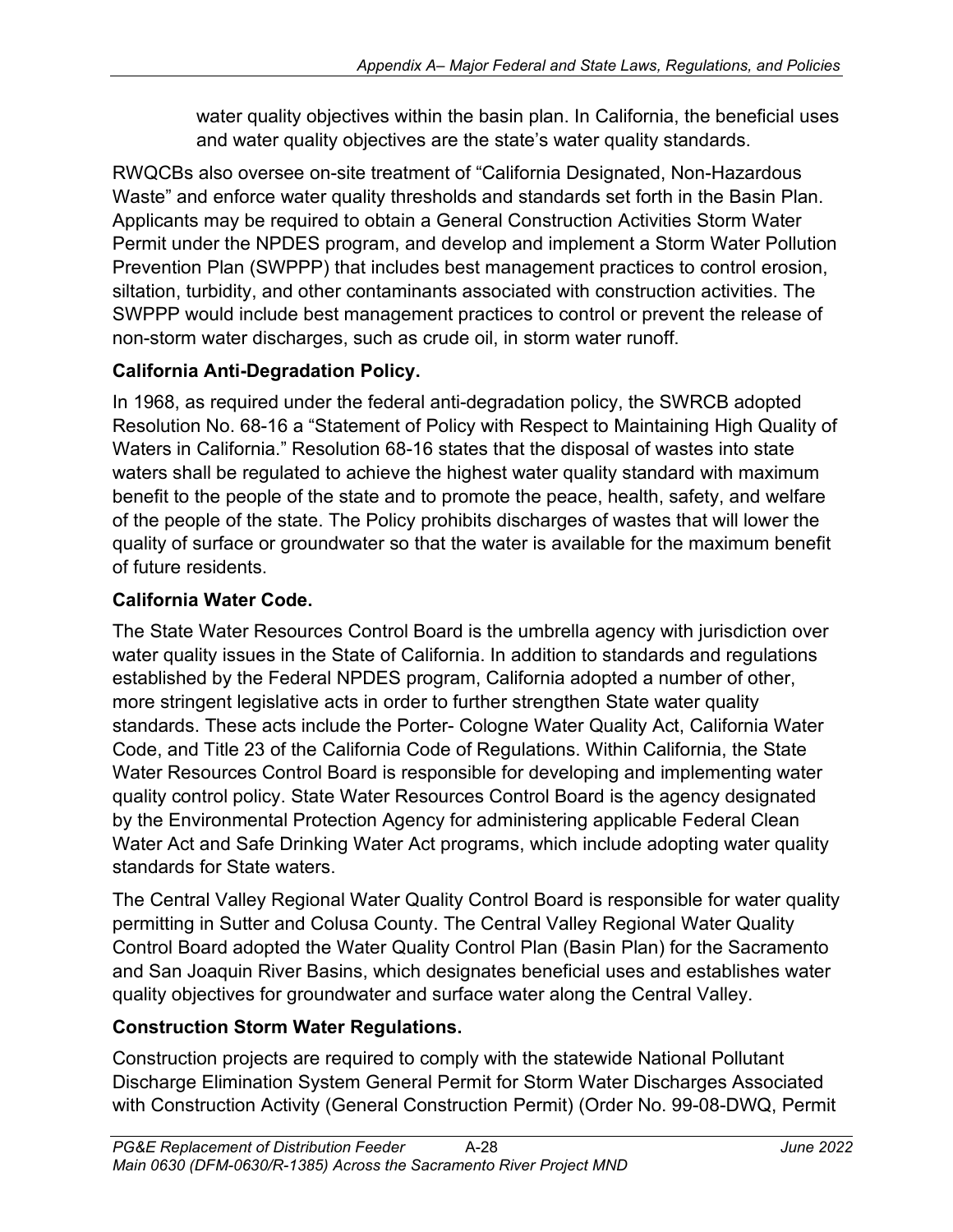water quality objectives within the basin plan. In California, the beneficial uses and water quality objectives are the state's water quality standards.

RWQCBs also oversee on-site treatment of "California Designated, Non-Hazardous Waste" and enforce water quality thresholds and standards set forth in the Basin Plan. Applicants may be required to obtain a General Construction Activities Storm Water Permit under the NPDES program, and develop and implement a Storm Water Pollution Prevention Plan (SWPPP) that includes best management practices to control erosion, siltation, turbidity, and other contaminants associated with construction activities. The SWPPP would include best management practices to control or prevent the release of non-storm water discharges, such as crude oil, in storm water runoff.

# **California Anti-Degradation Policy.**

In 1968, as required under the federal anti-degradation policy, the SWRCB adopted Resolution No. 68-16 a "Statement of Policy with Respect to Maintaining High Quality of Waters in California." Resolution 68-16 states that the disposal of wastes into state waters shall be regulated to achieve the highest water quality standard with maximum benefit to the people of the state and to promote the peace, health, safety, and welfare of the people of the state. The Policy prohibits discharges of wastes that will lower the quality of surface or groundwater so that the water is available for the maximum benefit of future residents.

# **California Water Code.**

The State Water Resources Control Board is the umbrella agency with jurisdiction over water quality issues in the State of California. In addition to standards and regulations established by the Federal NPDES program, California adopted a number of other, more stringent legislative acts in order to further strengthen State water quality standards. These acts include the Porter- Cologne Water Quality Act, California Water Code, and Title 23 of the California Code of Regulations. Within California, the State Water Resources Control Board is responsible for developing and implementing water quality control policy. State Water Resources Control Board is the agency designated by the Environmental Protection Agency for administering applicable Federal Clean Water Act and Safe Drinking Water Act programs, which include adopting water quality standards for State waters.

The Central Valley Regional Water Quality Control Board is responsible for water quality permitting in Sutter and Colusa County. The Central Valley Regional Water Quality Control Board adopted the Water Quality Control Plan (Basin Plan) for the Sacramento and San Joaquin River Basins, which designates beneficial uses and establishes water quality objectives for groundwater and surface water along the Central Valley.

# **Construction Storm Water Regulations.**

Construction projects are required to comply with the statewide National Pollutant Discharge Elimination System General Permit for Storm Water Discharges Associated with Construction Activity (General Construction Permit) (Order No. 99-08-DWQ, Permit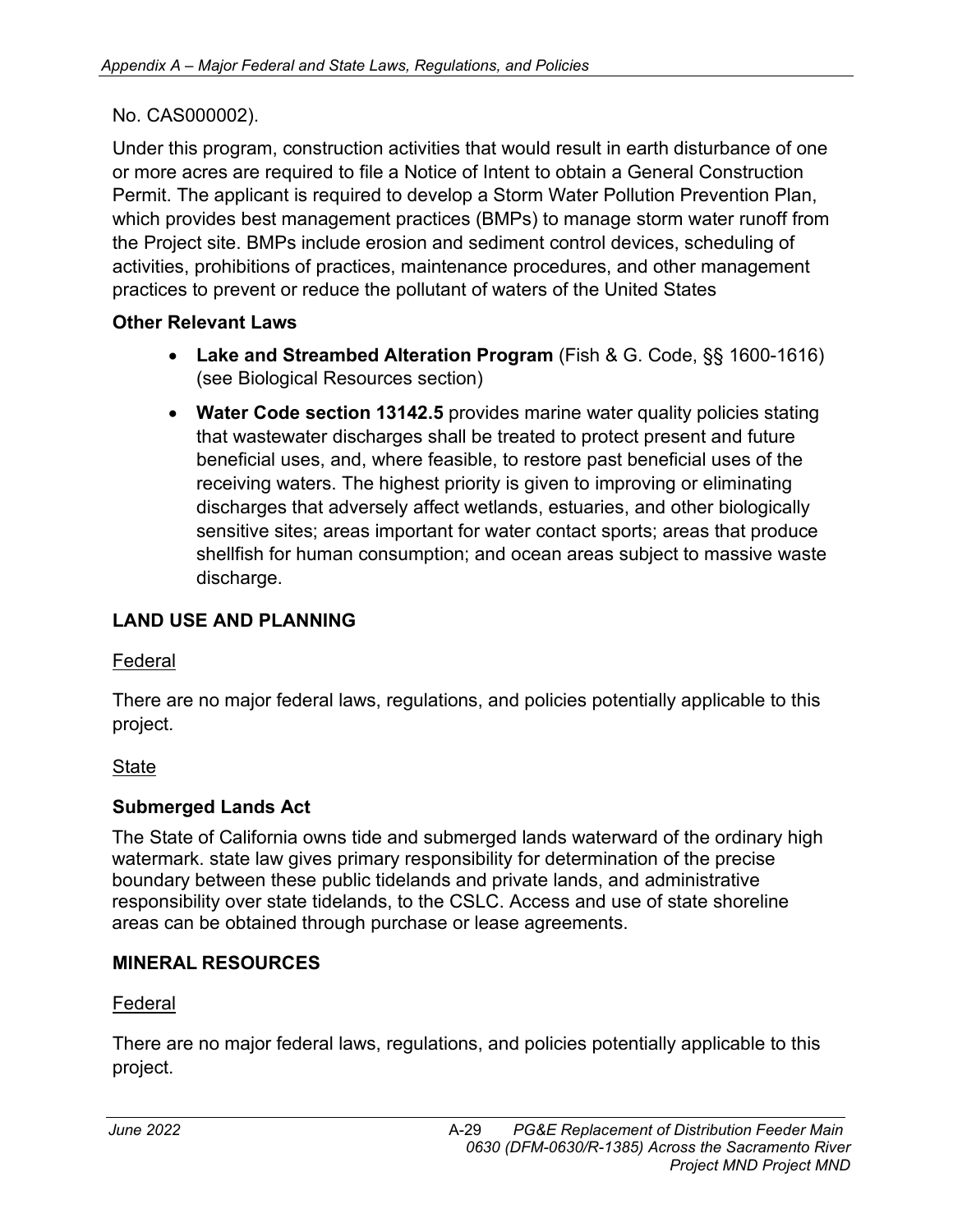### No. CAS000002).

Under this program, construction activities that would result in earth disturbance of one or more acres are required to file a Notice of Intent to obtain a General Construction Permit. The applicant is required to develop a Storm Water Pollution Prevention Plan, which provides best management practices (BMPs) to manage storm water runoff from the Project site. BMPs include erosion and sediment control devices, scheduling of activities, prohibitions of practices, maintenance procedures, and other management practices to prevent or reduce the pollutant of waters of the United States

### **Other Relevant Laws**

- **Lake and Streambed Alteration Program** (Fish & G. Code, §§ 1600-1616) (see Biological Resources section)
- **Water Code section 13142.5** provides marine water quality policies stating that wastewater discharges shall be treated to protect present and future beneficial uses, and, where feasible, to restore past beneficial uses of the receiving waters. The highest priority is given to improving or eliminating discharges that adversely affect wetlands, estuaries, and other biologically sensitive sites; areas important for water contact sports; areas that produce shellfish for human consumption; and ocean areas subject to massive waste discharge.

# **LAND USE AND PLANNING**

### Federal

There are no major federal laws, regulations, and policies potentially applicable to this project.

### State

# **Submerged Lands Act**

The State of California owns tide and submerged lands waterward of the ordinary high watermark. state law gives primary responsibility for determination of the precise boundary between these public tidelands and private lands, and administrative responsibility over state tidelands, to the CSLC. Access and use of state shoreline areas can be obtained through purchase or lease agreements.

### **MINERAL RESOURCES**

### Federal

There are no major federal laws, regulations, and policies potentially applicable to this project.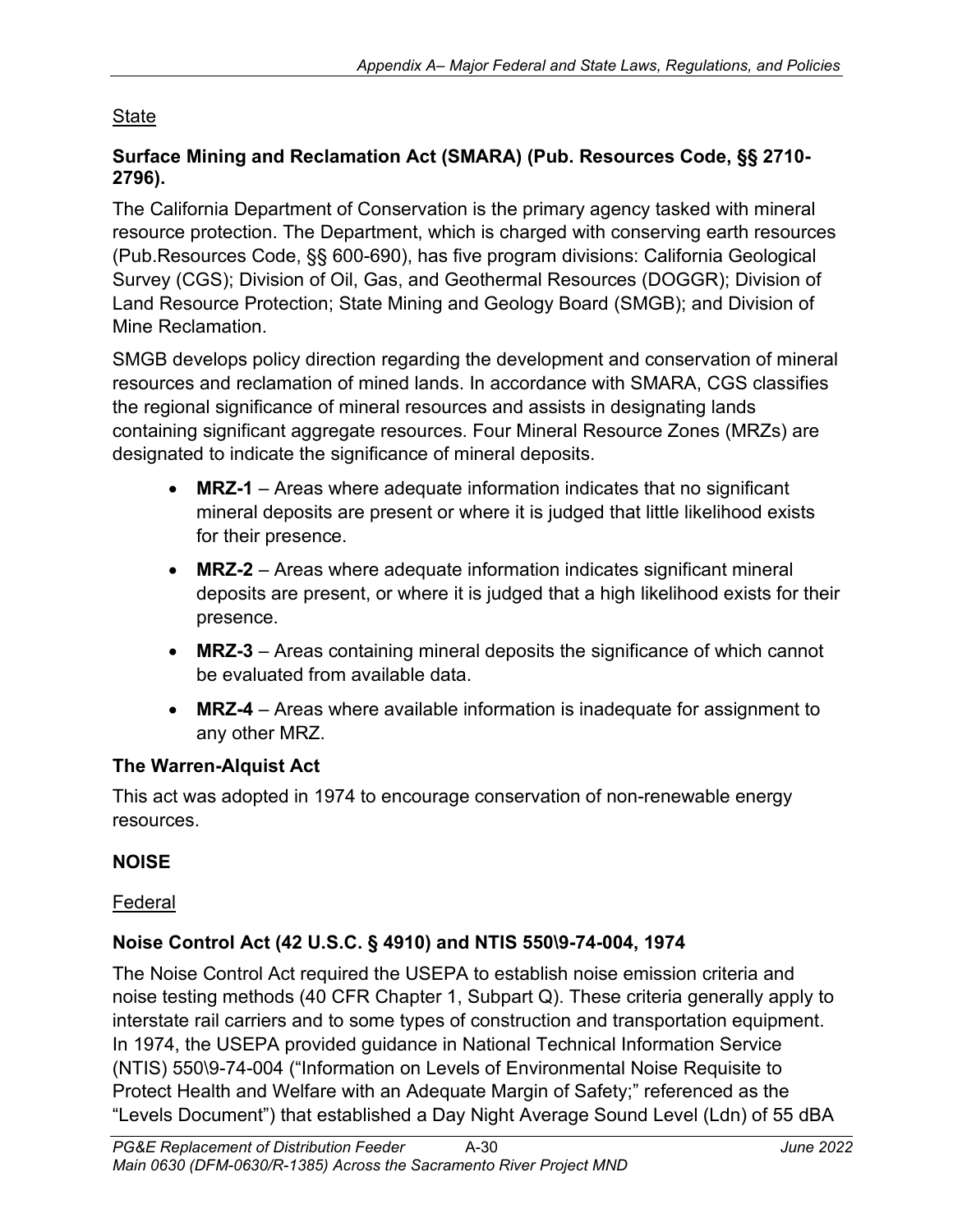# State

### **Surface Mining and Reclamation Act (SMARA) (Pub. Resources Code, §§ 2710- 2796).**

The California Department of Conservation is the primary agency tasked with mineral resource protection. The Department, which is charged with conserving earth resources (Pub.Resources Code, §§ 600-690), has five program divisions: California Geological Survey (CGS); Division of Oil, Gas, and Geothermal Resources (DOGGR); Division of Land Resource Protection; State Mining and Geology Board (SMGB); and Division of Mine Reclamation.

SMGB develops policy direction regarding the development and conservation of mineral resources and reclamation of mined lands. In accordance with SMARA, CGS classifies the regional significance of mineral resources and assists in designating lands containing significant aggregate resources. Four Mineral Resource Zones (MRZs) are designated to indicate the significance of mineral deposits.

- **MRZ-1** Areas where adequate information indicates that no significant mineral deposits are present or where it is judged that little likelihood exists for their presence.
- **MRZ-2** Areas where adequate information indicates significant mineral deposits are present, or where it is judged that a high likelihood exists for their presence.
- **MRZ-3** Areas containing mineral deposits the significance of which cannot be evaluated from available data.
- **MRZ-4** Areas where available information is inadequate for assignment to any other MRZ.

# **The Warren-Alquist Act**

This act was adopted in 1974 to encourage conservation of non-renewable energy resources.

# **NOISE**

# Federal

# **Noise Control Act (42 U.S.C. § 4910) and NTIS 550\9-74-004, 1974**

The Noise Control Act required the USEPA to establish noise emission criteria and noise testing methods (40 CFR Chapter 1, Subpart Q). These criteria generally apply to interstate rail carriers and to some types of construction and transportation equipment. In 1974, the USEPA provided guidance in National Technical Information Service (NTIS) 550\9-74-004 ("Information on Levels of Environmental Noise Requisite to Protect Health and Welfare with an Adequate Margin of Safety;" referenced as the "Levels Document") that established a Day Night Average Sound Level (Ldn) of 55 dBA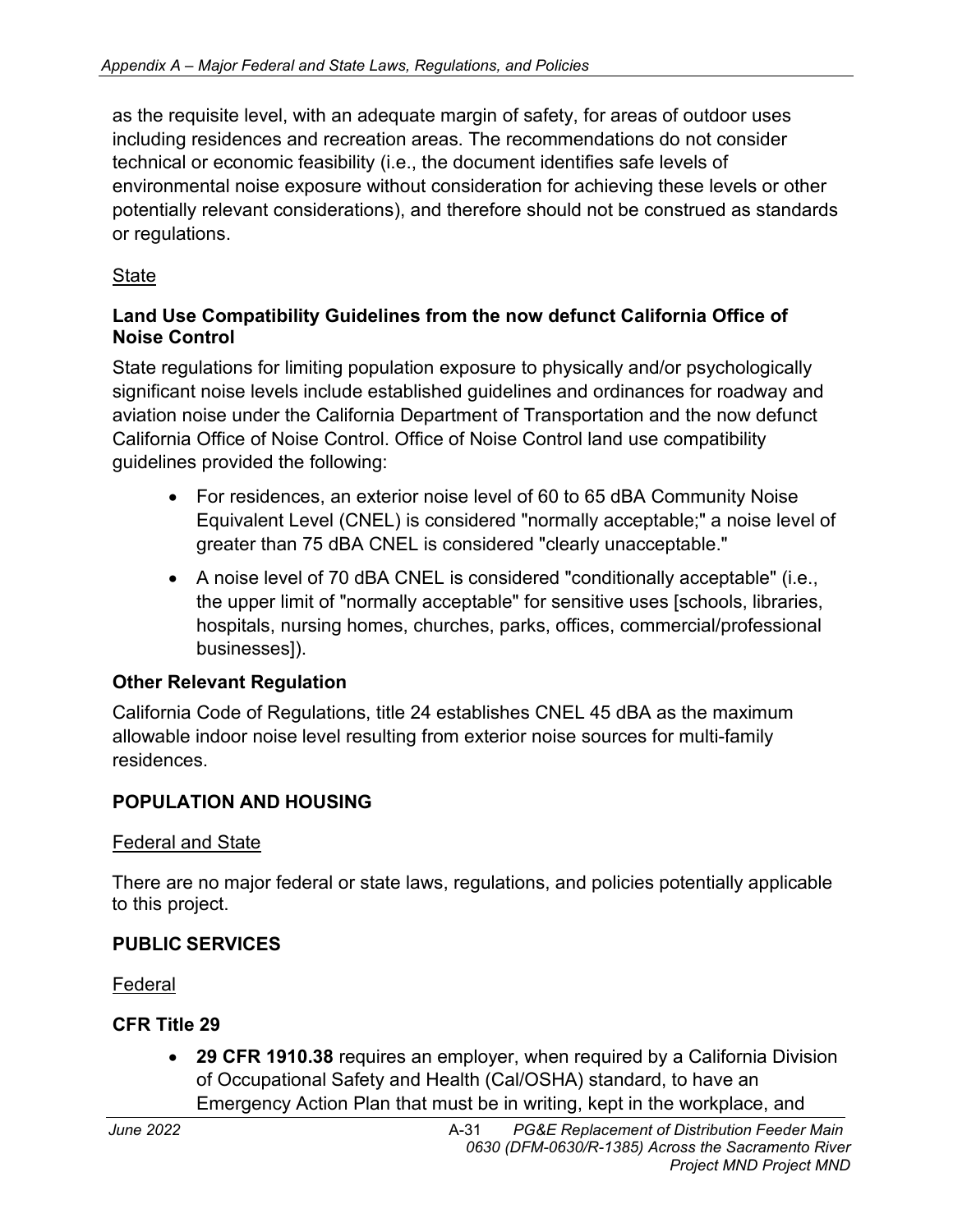as the requisite level, with an adequate margin of safety, for areas of outdoor uses including residences and recreation areas. The recommendations do not consider technical or economic feasibility (i.e., the document identifies safe levels of environmental noise exposure without consideration for achieving these levels or other potentially relevant considerations), and therefore should not be construed as standards or regulations.

### **State**

### **Land Use Compatibility Guidelines from the now defunct California Office of Noise Control**

State regulations for limiting population exposure to physically and/or psychologically significant noise levels include established guidelines and ordinances for roadway and aviation noise under the California Department of Transportation and the now defunct California Office of Noise Control. Office of Noise Control land use compatibility guidelines provided the following:

- For residences, an exterior noise level of 60 to 65 dBA Community Noise Equivalent Level (CNEL) is considered "normally acceptable;" a noise level of greater than 75 dBA CNEL is considered "clearly unacceptable."
- A noise level of 70 dBA CNEL is considered "conditionally acceptable" (i.e., the upper limit of "normally acceptable" for sensitive uses [schools, libraries, hospitals, nursing homes, churches, parks, offices, commercial/professional businesses]).

### **Other Relevant Regulation**

California Code of Regulations, title 24 establishes CNEL 45 dBA as the maximum allowable indoor noise level resulting from exterior noise sources for multi-family residences.

# **POPULATION AND HOUSING**

### Federal and State

There are no major federal or state laws, regulations, and policies potentially applicable to this project.

### **PUBLIC SERVICES**

Federal

# **CFR Title 29**

• **29 CFR 1910.38** requires an employer, when required by a California Division of Occupational Safety and Health (Cal/OSHA) standard, to have an Emergency Action Plan that must be in writing, kept in the workplace, and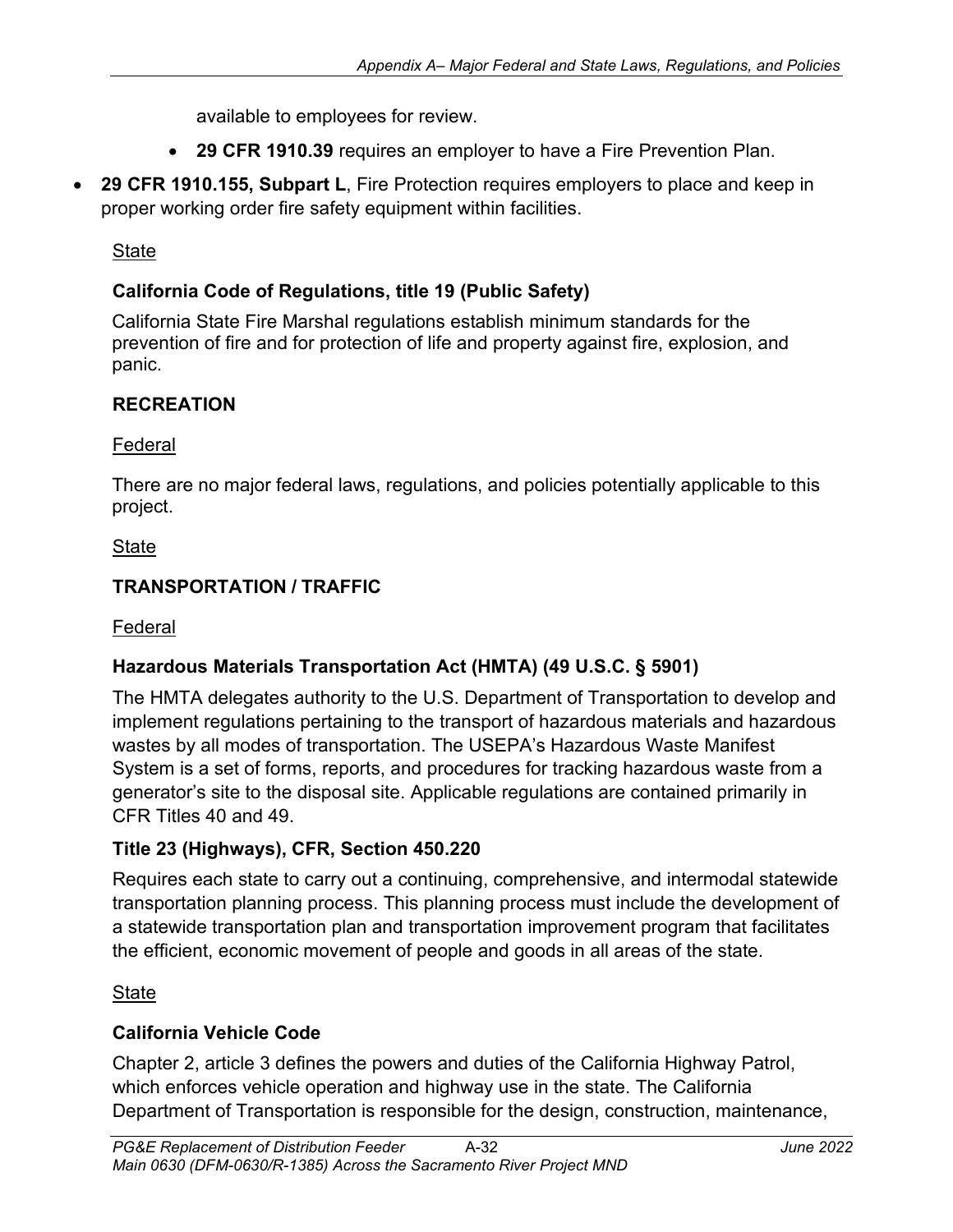available to employees for review.

- **29 CFR 1910.39** requires an employer to have a Fire Prevention Plan.
- **29 CFR 1910.155, Subpart L**, Fire Protection requires employers to place and keep in proper working order fire safety equipment within facilities.

**State** 

# **California Code of Regulations, title 19 (Public Safety)**

California State Fire Marshal regulations establish minimum standards for the prevention of fire and for protection of life and property against fire, explosion, and panic.

# **RECREATION**

### Federal

There are no major federal laws, regulations, and policies potentially applicable to this project.

### **State**

# **TRANSPORTATION / TRAFFIC**

Federal

# **Hazardous Materials Transportation Act (HMTA) (49 U.S.C. § 5901)**

The HMTA delegates authority to the U.S. Department of Transportation to develop and implement regulations pertaining to the transport of hazardous materials and hazardous wastes by all modes of transportation. The USEPA's Hazardous Waste Manifest System is a set of forms, reports, and procedures for tracking hazardous waste from a generator's site to the disposal site. Applicable regulations are contained primarily in CFR Titles 40 and 49.

### **Title 23 (Highways), CFR, Section 450.220**

Requires each state to carry out a continuing, comprehensive, and intermodal statewide transportation planning process. This planning process must include the development of a statewide transportation plan and transportation improvement program that facilitates the efficient, economic movement of people and goods in all areas of the state.

### **State**

# **California Vehicle Code**

Chapter 2, article 3 defines the powers and duties of the California Highway Patrol, which enforces vehicle operation and highway use in the state. The California Department of Transportation is responsible for the design, construction, maintenance,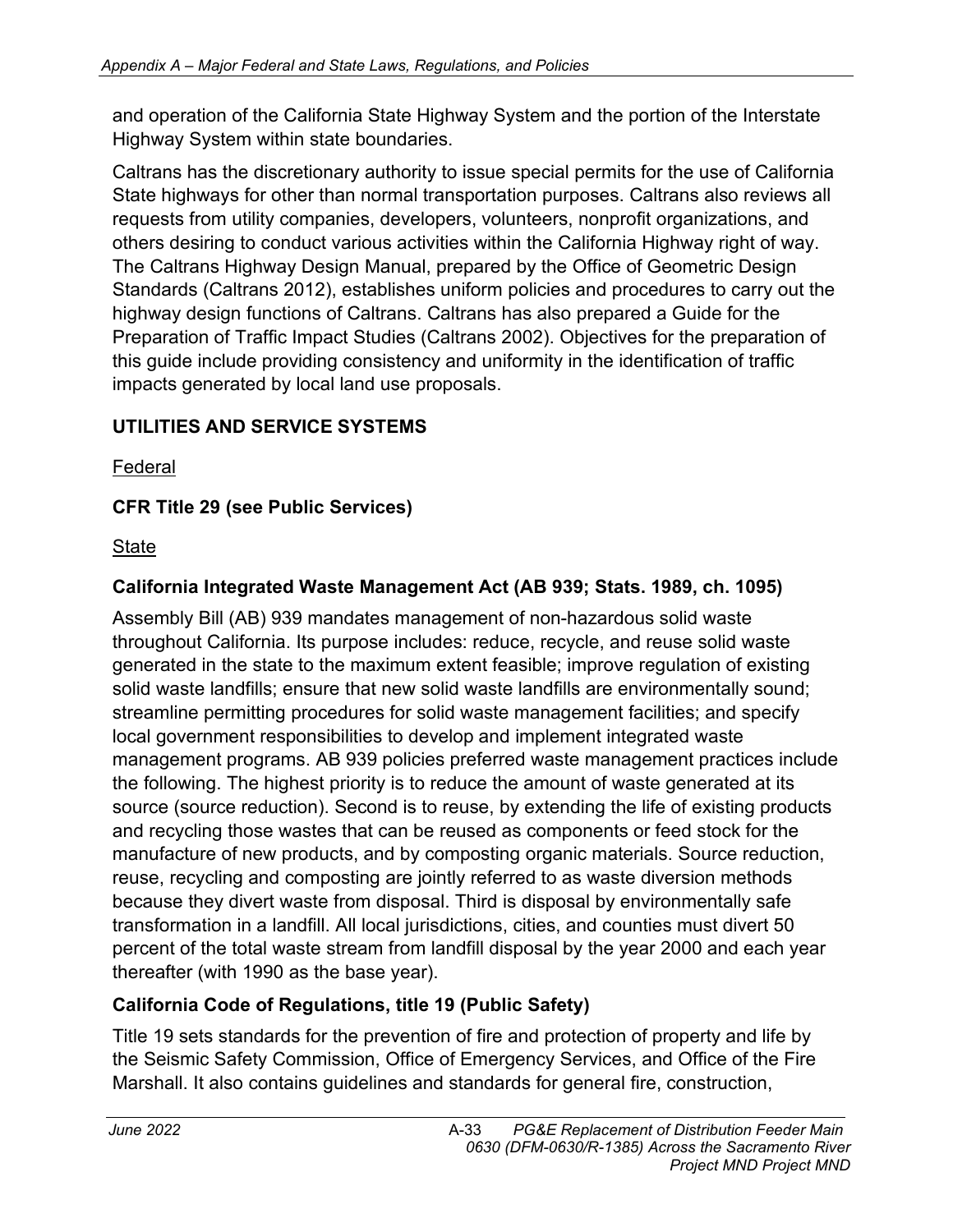and operation of the California State Highway System and the portion of the Interstate Highway System within state boundaries.

Caltrans has the discretionary authority to issue special permits for the use of California State highways for other than normal transportation purposes. Caltrans also reviews all requests from utility companies, developers, volunteers, nonprofit organizations, and others desiring to conduct various activities within the California Highway right of way. The Caltrans Highway Design Manual, prepared by the Office of Geometric Design Standards (Caltrans 2012), establishes uniform policies and procedures to carry out the highway design functions of Caltrans. Caltrans has also prepared a Guide for the Preparation of Traffic Impact Studies (Caltrans 2002). Objectives for the preparation of this guide include providing consistency and uniformity in the identification of traffic impacts generated by local land use proposals.

# **UTILITIES AND SERVICE SYSTEMS**

Federal

# **CFR Title 29 (see Public Services)**

**State** 

# **California Integrated Waste Management Act (AB 939; Stats. 1989, ch. 1095)**

Assembly Bill (AB) 939 mandates management of non-hazardous solid waste throughout California. Its purpose includes: reduce, recycle, and reuse solid waste generated in the state to the maximum extent feasible; improve regulation of existing solid waste landfills; ensure that new solid waste landfills are environmentally sound; streamline permitting procedures for solid waste management facilities; and specify local government responsibilities to develop and implement integrated waste management programs. AB 939 policies preferred waste management practices include the following. The highest priority is to reduce the amount of waste generated at its source (source reduction). Second is to reuse, by extending the life of existing products and recycling those wastes that can be reused as components or feed stock for the manufacture of new products, and by composting organic materials. Source reduction, reuse, recycling and composting are jointly referred to as waste diversion methods because they divert waste from disposal. Third is disposal by environmentally safe transformation in a landfill. All local jurisdictions, cities, and counties must divert 50 percent of the total waste stream from landfill disposal by the year 2000 and each year thereafter (with 1990 as the base year).

# **California Code of Regulations, title 19 (Public Safety)**

Title 19 sets standards for the prevention of fire and protection of property and life by the Seismic Safety Commission, Office of Emergency Services, and Office of the Fire Marshall. It also contains guidelines and standards for general fire, construction,